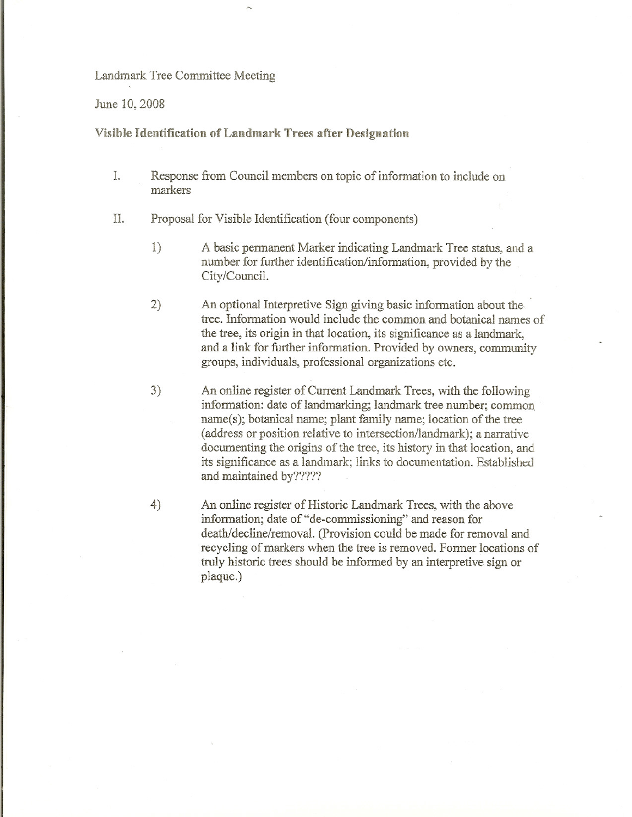## Landmark Tree Committee Meeting

June 10, 2008

## Visible Identification of Landmark Trees after Designation

- 1. Response from Council members on topic of information to include on markers
- II. Proposal for Visible Identification (four components)
	- 1) A basic permanent Marker indicating Landmark Tree status, and a number for further identification/information, provided by the City/Council.
	- 2) An optional Interpretive Sign giving basic information about the· tree. Information would include the common and botanical names of the tree, its origin in that location, its significance as a landmark, and a link for further information. Provided by owners, community groups, individuals, professional organizations etc.
	- 3) An online register of Current Landmark Trees, with the following information: date of landmarking; landmark tree number; common. name(s); botanical name; plant family name; location of the tree (address or position relative to intersection/landmark); a narrative documenting the origins of the tree, its history in that location, and its significance as a landmark; links to documentation. Established and maintained by?????
	- 4) An online register of Historic Landmark Trees, with the above information; date of "de-commissioning" and reason for death/decline/removal. (Provision could be made for removal and recycling of markers when the tree is removed. Former locations of truly historic trees should be informed by an interpretive sign or plaque. )